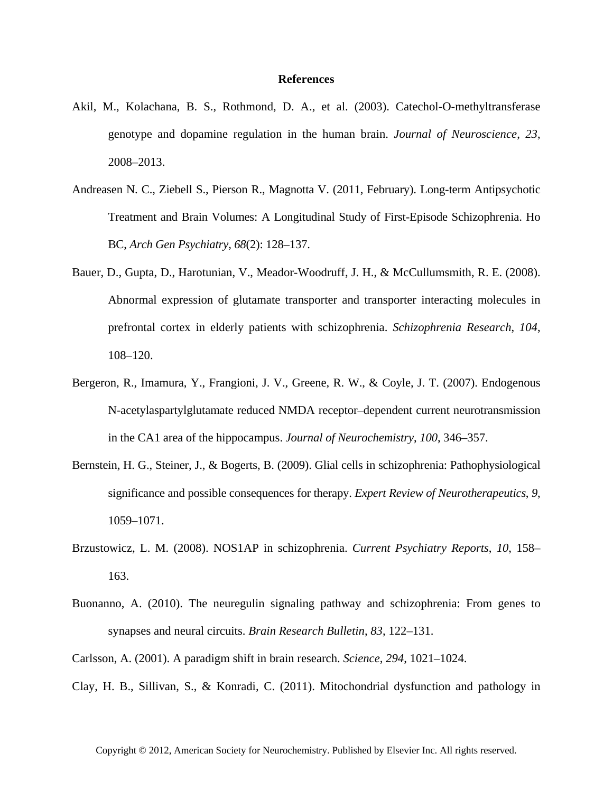## **References**

- Akil, M., Kolachana, B. S., Rothmond, D. A., et al. (2003). Catechol-O-methyltransferase genotype and dopamine regulation in the human brain. *Journal of Neuroscience*, *23*, 2008–2013.
- Andreasen N. C., Ziebell S., Pierson R., Magnotta V. (2011, February). Long-term Antipsychotic Treatment and Brain Volumes: A Longitudinal Study of First-Episode Schizophrenia. Ho BC, *Arch Gen Psychiatry*, *68*(2): 128–137.
- Bauer, D., Gupta, D., Harotunian, V., Meador-Woodruff, J. H., & McCullumsmith, R. E. (2008). Abnormal expression of glutamate transporter and transporter interacting molecules in prefrontal cortex in elderly patients with schizophrenia. *Schizophrenia Research*, *104*, 108–120.
- Bergeron, R., Imamura, Y., Frangioni, J. V., Greene, R. W., & Coyle, J. T. (2007). Endogenous N-acetylaspartylglutamate reduced NMDA receptor–dependent current neurotransmission in the CA1 area of the hippocampus. *Journal of Neurochemistry*, *100*, 346–357.
- Bernstein, H. G., Steiner, J., & Bogerts, B. (2009). Glial cells in schizophrenia: Pathophysiological significance and possible consequences for therapy. *Expert Review of Neurotherapeutics*, *9*, 1059–1071.
- Brzustowicz, L. M. (2008). NOS1AP in schizophrenia. *Current Psychiatry Reports*, *10*, 158– 163.
- Buonanno, A. (2010). The neuregulin signaling pathway and schizophrenia: From genes to synapses and neural circuits. *Brain Research Bulletin*, *83*, 122–131.
- Carlsson, A. (2001). A paradigm shift in brain research. *Science*, *294*, 1021–1024.
- Clay, H. B., Sillivan, S., & Konradi, C. (2011). Mitochondrial dysfunction and pathology in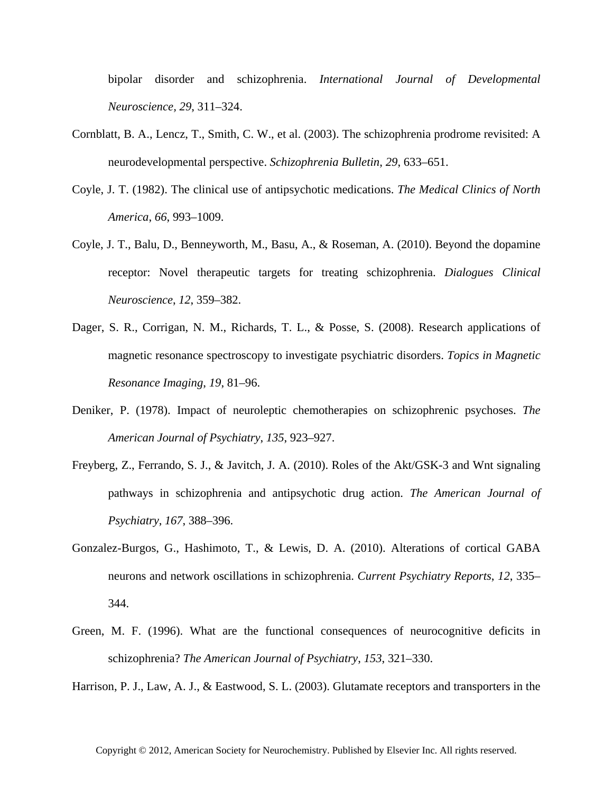bipolar disorder and schizophrenia. *International Journal of Developmental Neuroscience, 29*, 311–324.

- Cornblatt, B. A., Lencz, T., Smith, C. W., et al. (2003). The schizophrenia prodrome revisited: A neurodevelopmental perspective. *Schizophrenia Bulletin*, *29*, 633–651.
- Coyle, J. T. (1982). The clinical use of antipsychotic medications. *The Medical Clinics of North America*, *66*, 993–1009.
- Coyle, J. T., Balu, D., Benneyworth, M., Basu, A., & Roseman, A. (2010). Beyond the dopamine receptor: Novel therapeutic targets for treating schizophrenia. *Dialogues Clinical Neuroscience*, *12*, 359–382.
- Dager, S. R., Corrigan, N. M., Richards, T. L., & Posse, S. (2008). Research applications of magnetic resonance spectroscopy to investigate psychiatric disorders. *Topics in Magnetic Resonance Imaging*, *19*, 81–96.
- Deniker, P. (1978). Impact of neuroleptic chemotherapies on schizophrenic psychoses. *The American Journal of Psychiatry*, *135*, 923–927.
- Freyberg, Z., Ferrando, S. J., & Javitch, J. A. (2010). Roles of the Akt/GSK-3 and Wnt signaling pathways in schizophrenia and antipsychotic drug action. *The American Journal of Psychiatry*, *167*, 388–396.
- Gonzalez-Burgos, G., Hashimoto, T., & Lewis, D. A. (2010). Alterations of cortical GABA neurons and network oscillations in schizophrenia. *Current Psychiatry Reports*, *12*, 335– 344.
- Green, M. F. (1996). What are the functional consequences of neurocognitive deficits in schizophrenia? *The American Journal of Psychiatry*, *153*, 321–330.

Harrison, P. J., Law, A. J., & Eastwood, S. L. (2003). Glutamate receptors and transporters in the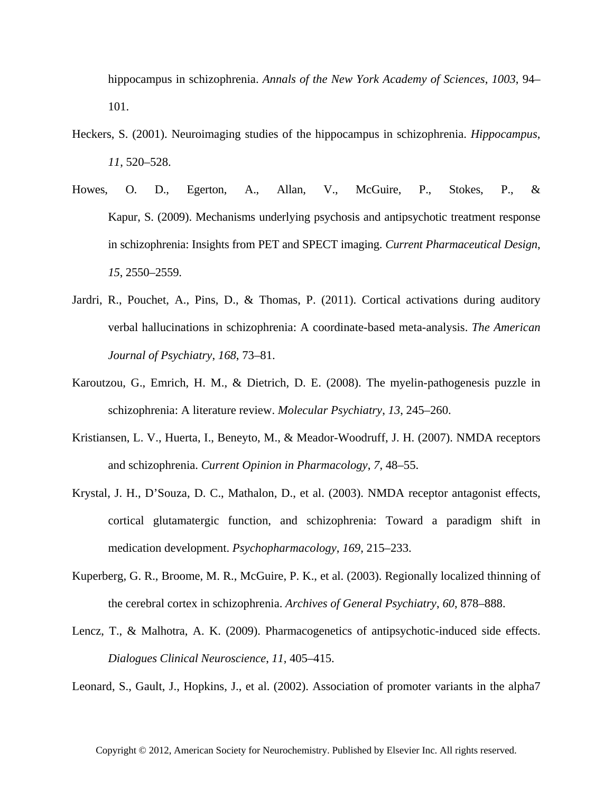hippocampus in schizophrenia. *Annals of the New York Academy of Sciences*, *1003*, 94– 101.

- Heckers, S. (2001). Neuroimaging studies of the hippocampus in schizophrenia. *Hippocampus*, *11*, 520–528.
- Howes, O. D., Egerton, A., Allan, V., McGuire, P., Stokes, P., & Kapur, S. (2009). Mechanisms underlying psychosis and antipsychotic treatment response in schizophrenia: Insights from PET and SPECT imaging. *Current Pharmaceutical Design*, *15*, 2550–2559.
- Jardri, R., Pouchet, A., Pins, D., & Thomas, P. (2011). Cortical activations during auditory verbal hallucinations in schizophrenia: A coordinate-based meta-analysis. *The American Journal of Psychiatry*, *168*, 73–81.
- Karoutzou, G., Emrich, H. M., & Dietrich, D. E. (2008). The myelin-pathogenesis puzzle in schizophrenia: A literature review. *Molecular Psychiatry*, *13*, 245–260.
- Kristiansen, L. V., Huerta, I., Beneyto, M., & Meador-Woodruff, J. H. (2007). NMDA receptors and schizophrenia. *Current Opinion in Pharmacology*, *7*, 48–55.
- Krystal, J. H., D'Souza, D. C., Mathalon, D., et al. (2003). NMDA receptor antagonist effects, cortical glutamatergic function, and schizophrenia: Toward a paradigm shift in medication development. *Psychopharmacology*, *169*, 215–233.
- Kuperberg, G. R., Broome, M. R., McGuire, P. K., et al. (2003). Regionally localized thinning of the cerebral cortex in schizophrenia. *Archives of General Psychiatry*, *60*, 878–888.
- Lencz, T., & Malhotra, A. K. (2009). Pharmacogenetics of antipsychotic-induced side effects. *Dialogues Clinical Neuroscience*, *11*, 405–415.

Leonard, S., Gault, J., Hopkins, J., et al. (2002). Association of promoter variants in the alpha7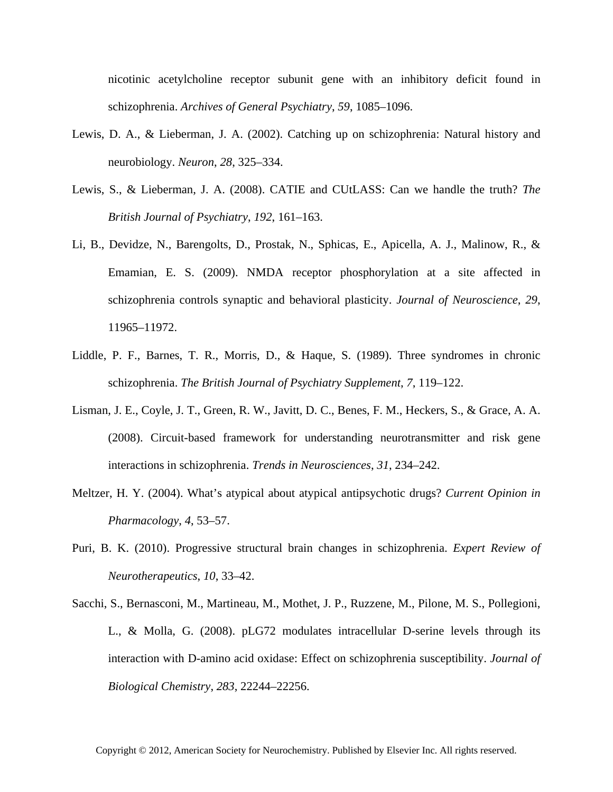nicotinic acetylcholine receptor subunit gene with an inhibitory deficit found in schizophrenia. *Archives of General Psychiatry*, *59*, 1085–1096.

- Lewis, D. A., & Lieberman, J. A. (2002). Catching up on schizophrenia: Natural history and neurobiology. *Neuron*, *28*, 325–334.
- Lewis, S., & Lieberman, J. A. (2008). CATIE and CUtLASS: Can we handle the truth? *The British Journal of Psychiatry*, *192*, 161–163.
- Li, B., Devidze, N., Barengolts, D., Prostak, N., Sphicas, E., Apicella, A. J., Malinow, R., & Emamian, E. S. (2009). NMDA receptor phosphorylation at a site affected in schizophrenia controls synaptic and behavioral plasticity. *Journal of Neuroscience*, *29*, 11965–11972.
- Liddle, P. F., Barnes, T. R., Morris, D., & Haque, S. (1989). Three syndromes in chronic schizophrenia. *The British Journal of Psychiatry Supplement*, *7*, 119–122.
- Lisman, J. E., Coyle, J. T., Green, R. W., Javitt, D. C., Benes, F. M., Heckers, S., & Grace, A. A. (2008). Circuit-based framework for understanding neurotransmitter and risk gene interactions in schizophrenia. *Trends in Neurosciences*, *31*, 234–242.
- Meltzer, H. Y. (2004). What's atypical about atypical antipsychotic drugs? *Current Opinion in Pharmacology*, *4*, 53–57.
- Puri, B. K. (2010). Progressive structural brain changes in schizophrenia. *Expert Review of Neurotherapeutics*, *10*, 33–42.
- Sacchi, S., Bernasconi, M., Martineau, M., Mothet, J. P., Ruzzene, M., Pilone, M. S., Pollegioni, L., & Molla, G. (2008). pLG72 modulates intracellular D-serine levels through its interaction with D-amino acid oxidase: Effect on schizophrenia susceptibility. *Journal of Biological Chemistry*, *283*, 22244–22256.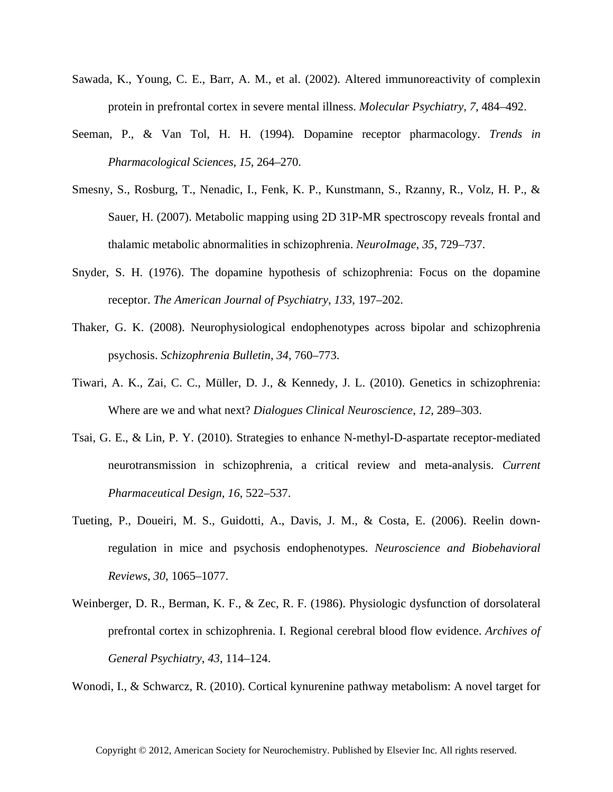- Sawada, K., Young, C. E., Barr, A. M., et al. (2002). Altered immunoreactivity of complexin protein in prefrontal cortex in severe mental illness. *Molecular Psychiatry*, *7*, 484–492.
- Seeman, P., & Van Tol, H. H. (1994). Dopamine receptor pharmacology. *Trends in Pharmacological Sciences*, *15*, 264–270.
- Smesny, S., Rosburg, T., Nenadic, I., Fenk, K. P., Kunstmann, S., Rzanny, R., Volz, H. P., & Sauer, H. (2007). Metabolic mapping using 2D 31P-MR spectroscopy reveals frontal and thalamic metabolic abnormalities in schizophrenia. *NeuroImage*, *35*, 729–737.
- Snyder, S. H. (1976). The dopamine hypothesis of schizophrenia: Focus on the dopamine receptor. *The American Journal of Psychiatry*, *133*, 197–202.
- Thaker, G. K. (2008). Neurophysiological endophenotypes across bipolar and schizophrenia psychosis. *Schizophrenia Bulletin*, *34*, 760–773.
- Tiwari, A. K., Zai, C. C., Müller, D. J., & Kennedy, J. L. (2010). Genetics in schizophrenia: Where are we and what next? *Dialogues Clinical Neuroscience*, *12*, 289–303.
- Tsai, G. E., & Lin, P. Y. (2010). Strategies to enhance N-methyl-D-aspartate receptor-mediated neurotransmission in schizophrenia, a critical review and meta-analysis. *Current Pharmaceutical Design*, *16*, 522–537.
- Tueting, P., Doueiri, M. S., Guidotti, A., Davis, J. M., & Costa, E. (2006). Reelin downregulation in mice and psychosis endophenotypes. *Neuroscience and Biobehavioral Reviews*, *30*, 1065–1077.
- Weinberger, D. R., Berman, K. F., & Zec, R. F. (1986). Physiologic dysfunction of dorsolateral prefrontal cortex in schizophrenia. I. Regional cerebral blood flow evidence. *Archives of General Psychiatry*, *43*, 114–124.

Wonodi, I., & Schwarcz, R. (2010). Cortical kynurenine pathway metabolism: A novel target for